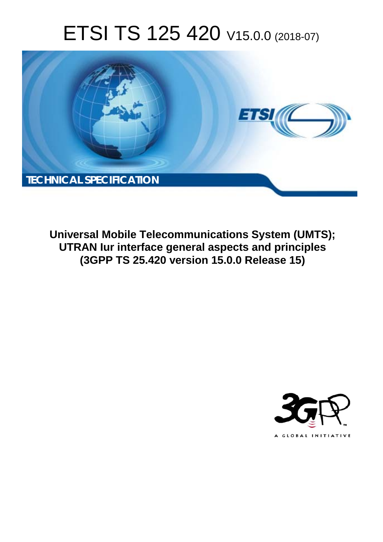# ETSI TS 125 420 V15.0.0 (2018-07)



**Universal Mobile Telecommunications System (UMTS); UTRAN Iur interface general aspects and principles (3GPP TS 25.420 version 15.0.0 Release 15)** 

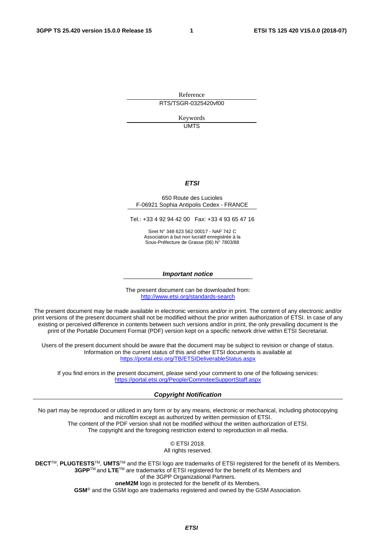Reference RTS/TSGR-0325420vf00

> Keywords UMTS

#### *ETSI*

#### 650 Route des Lucioles F-06921 Sophia Antipolis Cedex - FRANCE

Tel.: +33 4 92 94 42 00 Fax: +33 4 93 65 47 16

Siret N° 348 623 562 00017 - NAF 742 C Association à but non lucratif enregistrée à la Sous-Préfecture de Grasse (06) N° 7803/88

#### *Important notice*

The present document can be downloaded from: <http://www.etsi.org/standards-search>

The present document may be made available in electronic versions and/or in print. The content of any electronic and/or print versions of the present document shall not be modified without the prior written authorization of ETSI. In case of any existing or perceived difference in contents between such versions and/or in print, the only prevailing document is the print of the Portable Document Format (PDF) version kept on a specific network drive within ETSI Secretariat.

Users of the present document should be aware that the document may be subject to revision or change of status. Information on the current status of this and other ETSI documents is available at <https://portal.etsi.org/TB/ETSIDeliverableStatus.aspx>

If you find errors in the present document, please send your comment to one of the following services: <https://portal.etsi.org/People/CommiteeSupportStaff.aspx>

#### *Copyright Notification*

No part may be reproduced or utilized in any form or by any means, electronic or mechanical, including photocopying and microfilm except as authorized by written permission of ETSI. The content of the PDF version shall not be modified without the written authorization of ETSI. The copyright and the foregoing restriction extend to reproduction in all media.

> © ETSI 2018. All rights reserved.

**DECT**TM, **PLUGTESTS**TM, **UMTS**TM and the ETSI logo are trademarks of ETSI registered for the benefit of its Members. **3GPP**TM and **LTE**TM are trademarks of ETSI registered for the benefit of its Members and of the 3GPP Organizational Partners. **oneM2M** logo is protected for the benefit of its Members.

**GSM**® and the GSM logo are trademarks registered and owned by the GSM Association.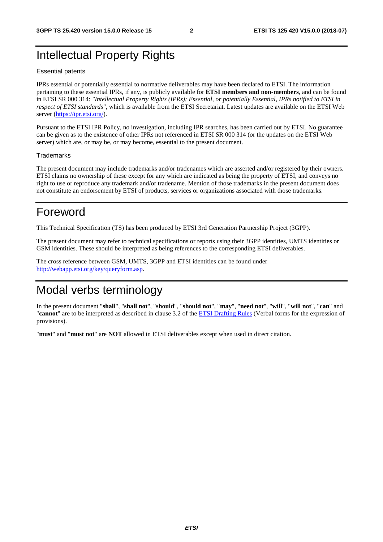# Intellectual Property Rights

#### Essential patents

IPRs essential or potentially essential to normative deliverables may have been declared to ETSI. The information pertaining to these essential IPRs, if any, is publicly available for **ETSI members and non-members**, and can be found in ETSI SR 000 314: *"Intellectual Property Rights (IPRs); Essential, or potentially Essential, IPRs notified to ETSI in respect of ETSI standards"*, which is available from the ETSI Secretariat. Latest updates are available on the ETSI Web server ([https://ipr.etsi.org/\)](https://ipr.etsi.org/).

Pursuant to the ETSI IPR Policy, no investigation, including IPR searches, has been carried out by ETSI. No guarantee can be given as to the existence of other IPRs not referenced in ETSI SR 000 314 (or the updates on the ETSI Web server) which are, or may be, or may become, essential to the present document.

#### **Trademarks**

The present document may include trademarks and/or tradenames which are asserted and/or registered by their owners. ETSI claims no ownership of these except for any which are indicated as being the property of ETSI, and conveys no right to use or reproduce any trademark and/or tradename. Mention of those trademarks in the present document does not constitute an endorsement by ETSI of products, services or organizations associated with those trademarks.

# Foreword

This Technical Specification (TS) has been produced by ETSI 3rd Generation Partnership Project (3GPP).

The present document may refer to technical specifications or reports using their 3GPP identities, UMTS identities or GSM identities. These should be interpreted as being references to the corresponding ETSI deliverables.

The cross reference between GSM, UMTS, 3GPP and ETSI identities can be found under [http://webapp.etsi.org/key/queryform.asp.](http://webapp.etsi.org/key/queryform.asp)

# Modal verbs terminology

In the present document "**shall**", "**shall not**", "**should**", "**should not**", "**may**", "**need not**", "**will**", "**will not**", "**can**" and "**cannot**" are to be interpreted as described in clause 3.2 of the [ETSI Drafting Rules](https://portal.etsi.org/Services/editHelp!/Howtostart/ETSIDraftingRules.aspx) (Verbal forms for the expression of provisions).

"**must**" and "**must not**" are **NOT** allowed in ETSI deliverables except when used in direct citation.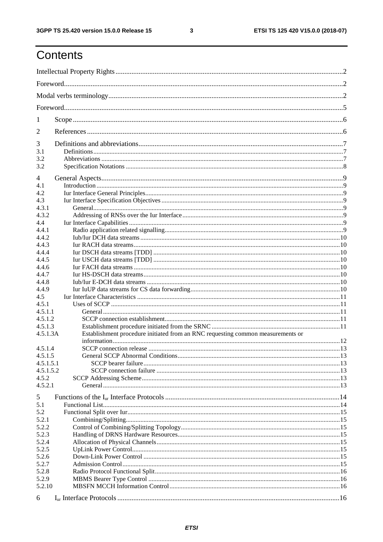$\mathbf{3}$ 

# Contents

| 1                |                                                                                 |  |  |  |  |  |
|------------------|---------------------------------------------------------------------------------|--|--|--|--|--|
| 2                |                                                                                 |  |  |  |  |  |
| 3                |                                                                                 |  |  |  |  |  |
| 3.1              |                                                                                 |  |  |  |  |  |
| 3.2              |                                                                                 |  |  |  |  |  |
| 3.2              |                                                                                 |  |  |  |  |  |
| 4                |                                                                                 |  |  |  |  |  |
| 4.1              |                                                                                 |  |  |  |  |  |
| 4.2              |                                                                                 |  |  |  |  |  |
| 4.3              |                                                                                 |  |  |  |  |  |
| 4.3.1            |                                                                                 |  |  |  |  |  |
| 4.3.2            |                                                                                 |  |  |  |  |  |
| 4.4              |                                                                                 |  |  |  |  |  |
| 4.4.1            |                                                                                 |  |  |  |  |  |
| 4.4.2            |                                                                                 |  |  |  |  |  |
| 4.4.3            |                                                                                 |  |  |  |  |  |
| 4.4.4            |                                                                                 |  |  |  |  |  |
| 4.4.5            |                                                                                 |  |  |  |  |  |
| 4.4.6            |                                                                                 |  |  |  |  |  |
| 4.4.7            |                                                                                 |  |  |  |  |  |
| 4.4.8            |                                                                                 |  |  |  |  |  |
| 4.4.9            |                                                                                 |  |  |  |  |  |
| 4.5              |                                                                                 |  |  |  |  |  |
| 4.5.1            |                                                                                 |  |  |  |  |  |
| 4.5.1.1          |                                                                                 |  |  |  |  |  |
| 4.5.1.2          |                                                                                 |  |  |  |  |  |
| 4.5.1.3          |                                                                                 |  |  |  |  |  |
| 4.5.1.3A         | Establishment procedure initiated from an RNC requesting common measurements or |  |  |  |  |  |
|                  |                                                                                 |  |  |  |  |  |
| 4.5.1.4          |                                                                                 |  |  |  |  |  |
| 4.5.1.5          |                                                                                 |  |  |  |  |  |
| 4.5.1.5.1        |                                                                                 |  |  |  |  |  |
| 4.5.1.5.2        |                                                                                 |  |  |  |  |  |
| 4.5.2<br>4.5.2.1 |                                                                                 |  |  |  |  |  |
|                  |                                                                                 |  |  |  |  |  |
| 5                |                                                                                 |  |  |  |  |  |
| 5.1              |                                                                                 |  |  |  |  |  |
| 5.2              |                                                                                 |  |  |  |  |  |
| 5.2.1            |                                                                                 |  |  |  |  |  |
| 5.2.2            |                                                                                 |  |  |  |  |  |
| 5.2.3            |                                                                                 |  |  |  |  |  |
| 5.2.4            |                                                                                 |  |  |  |  |  |
| 5.2.5            |                                                                                 |  |  |  |  |  |
| 5.2.6            |                                                                                 |  |  |  |  |  |
| 5.2.7            |                                                                                 |  |  |  |  |  |
| 5.2.8            |                                                                                 |  |  |  |  |  |
| 5.2.9            |                                                                                 |  |  |  |  |  |
| 5.2.10           |                                                                                 |  |  |  |  |  |
| 6                |                                                                                 |  |  |  |  |  |
|                  |                                                                                 |  |  |  |  |  |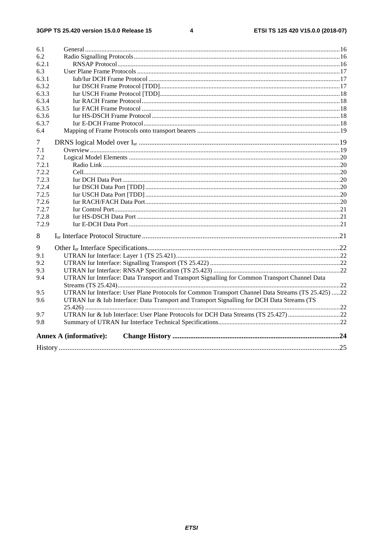$\overline{\mathbf{4}}$ 

| 6.1    |                                                                                                    |  |
|--------|----------------------------------------------------------------------------------------------------|--|
| 6.2    |                                                                                                    |  |
| 6.2.1  |                                                                                                    |  |
| 6.3    |                                                                                                    |  |
| 6.3.1  |                                                                                                    |  |
| 6.3.2  |                                                                                                    |  |
| 6.3.3  |                                                                                                    |  |
| 6.3.4  |                                                                                                    |  |
| 6.3.5  |                                                                                                    |  |
| 6.3.6  |                                                                                                    |  |
| 6.3.7  |                                                                                                    |  |
| 6.4    |                                                                                                    |  |
| $\tau$ |                                                                                                    |  |
| 7.1    |                                                                                                    |  |
| 7.2    |                                                                                                    |  |
| 7.2.1  |                                                                                                    |  |
| 7.2.2  |                                                                                                    |  |
| 7.2.3  |                                                                                                    |  |
| 7.2.4  |                                                                                                    |  |
| 7.2.5  |                                                                                                    |  |
| 7.2.6  |                                                                                                    |  |
| 7.2.7  |                                                                                                    |  |
| 7.2.8  |                                                                                                    |  |
| 7.2.9  |                                                                                                    |  |
| 8      |                                                                                                    |  |
| 9      |                                                                                                    |  |
| 9.1    |                                                                                                    |  |
| 9.2    |                                                                                                    |  |
| 9.3    |                                                                                                    |  |
| 9.4    | UTRAN Iur Interface: Data Transport and Transport Signalling for Common Transport Channel Data     |  |
|        |                                                                                                    |  |
| 9.5    | UTRAN Iur Interface: User Plane Protocols for Common Transport Channel Data Streams (TS 25.425) 22 |  |
| 9.6    | UTRAN Iur & Iub Interface: Data Transport and Transport Signalling for DCH Data Streams (TS        |  |
|        |                                                                                                    |  |
| 9.7    | UTRAN Iur & Iub Interface: User Plane Protocols for DCH Data Streams (TS 25.427)22                 |  |
| 9.8    |                                                                                                    |  |
|        | <b>Annex A (informative):</b>                                                                      |  |
|        |                                                                                                    |  |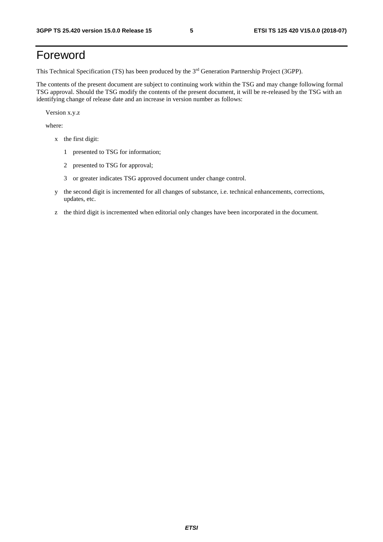# Foreword

This Technical Specification (TS) has been produced by the 3rd Generation Partnership Project (3GPP).

The contents of the present document are subject to continuing work within the TSG and may change following formal TSG approval. Should the TSG modify the contents of the present document, it will be re-released by the TSG with an identifying change of release date and an increase in version number as follows:

Version x.y.z

where:

- x the first digit:
	- 1 presented to TSG for information;
	- 2 presented to TSG for approval;
	- 3 or greater indicates TSG approved document under change control.
- y the second digit is incremented for all changes of substance, i.e. technical enhancements, corrections, updates, etc.
- z the third digit is incremented when editorial only changes have been incorporated in the document.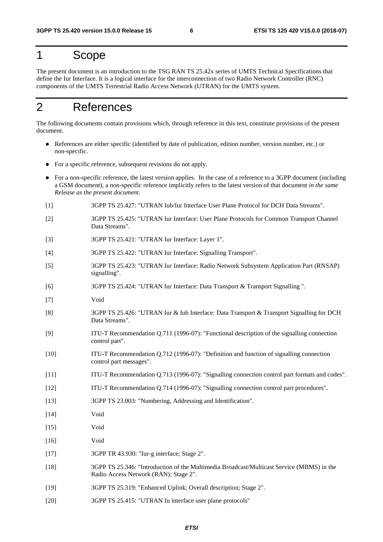### 1 Scope

The present document is an introduction to the TSG RAN TS 25.42x series of UMTS Technical Specifications that define the Iur Interface. It is a logical interface for the interconnection of two Radio Network Controller (RNC) components of the UMTS Terrestrial Radio Access Network (UTRAN) for the UMTS system.

# 2 References

The following documents contain provisions which, through reference in this text, constitute provisions of the present document.

- References are either specific (identified by date of publication, edition number, version number, etc.) or non-specific.
- For a specific reference, subsequent revisions do not apply.
- For a non-specific reference, the latest version applies. In the case of a reference to a 3GPP document (including a GSM document), a non-specific reference implicitly refers to the latest version of that document *in the same Release as the present document*.
- [1] 3GPP TS 25.427: "UTRAN Iub/Iur Interface User Plane Protocol for DCH Data Streams".
- [2] 3GPP TS 25.425: "UTRAN Iur Interface: User Plane Protocols for Common Transport Channel Data Streams".
- [3] 3GPP TS 25.421: "UTRAN Iur Interface: Layer 1".
- [4] 3GPP TS 25.422: "UTRAN Iur Interface: Signalling Transport".
- [5] 3GPP TS 25.423: "UTRAN Iur Interface: Radio Network Subsystem Application Part (RNSAP) signalling".
- [6] 3GPP TS 25.424: "UTRAN Iur Interface: Data Transport & Transport Signalling ".
- [7] Void
- [8] 3GPP TS 25.426: "UTRAN Iur & Iub Interface: Data Transport & Transport Signalling for DCH Data Streams".
- [9] ITU-T Recommendation Q.711 (1996-07): "Functional description of the signalling connection control part".
- [10] ITU-T Recommendation Q.712 (1996-07): "Definition and function of signalling connection control part messages".
- [11] ITU-T Recommendation Q.713 (1996-07): "Signalling connection control part formats and codes".
- [12] ITU-T Recommendation Q.714 (1996-07): "Signalling connection control part procedures".
- [13] 3GPP TS 23.003: "Numbering, Addressing and Identification".
- [14] Void
- [15] Void
- [16] Void
- [17] 3GPP TR 43.930: "Iur-g interface; Stage 2".
- [18] 3GPP TS 25.346: "Introduction of the Multimedia Broadcast/Multicast Service (MBMS) in the Radio Access Network (RAN); Stage 2".
- [19] 3GPP TS 25.319: "Enhanced Uplink; Overall description; Stage 2".
- [20] 3GPP TS 25.415: "UTRAN Iu interface user plane protocols"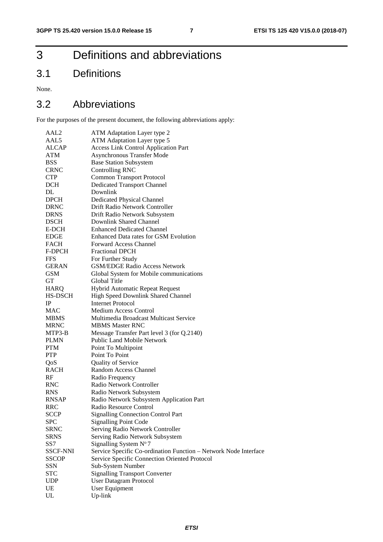# 3 Definitions and abbreviations

# 3.1 Definitions

None.

### 3.2 Abbreviations

For the purposes of the present document, the following abbreviations apply:

| AAL2            | ATM Adaptation Layer type 2                                      |  |  |  |
|-----------------|------------------------------------------------------------------|--|--|--|
| AAL5            | ATM Adaptation Layer type 5                                      |  |  |  |
| <b>ALCAP</b>    | <b>Access Link Control Application Part</b>                      |  |  |  |
| ATM             | Asynchronous Transfer Mode                                       |  |  |  |
| <b>BSS</b>      | <b>Base Station Subsystem</b>                                    |  |  |  |
| <b>CRNC</b>     | Controlling RNC                                                  |  |  |  |
| <b>CTP</b>      | <b>Common Transport Protocol</b>                                 |  |  |  |
| DCH             | <b>Dedicated Transport Channel</b>                               |  |  |  |
| DL              | Downlink                                                         |  |  |  |
| <b>DPCH</b>     | <b>Dedicated Physical Channel</b>                                |  |  |  |
| <b>DRNC</b>     | Drift Radio Network Controller                                   |  |  |  |
| <b>DRNS</b>     | Drift Radio Network Subsystem                                    |  |  |  |
| <b>DSCH</b>     | Downlink Shared Channel                                          |  |  |  |
| E-DCH           | <b>Enhanced Dedicated Channel</b>                                |  |  |  |
| EDGE            | Enhanced Data rates for GSM Evolution                            |  |  |  |
| FACH            | <b>Forward Access Channel</b>                                    |  |  |  |
| F-DPCH          | <b>Fractional DPCH</b>                                           |  |  |  |
| <b>FFS</b>      | For Further Study                                                |  |  |  |
| <b>GERAN</b>    | <b>GSM/EDGE Radio Access Network</b>                             |  |  |  |
| <b>GSM</b>      | Global System for Mobile communications                          |  |  |  |
| GT              | Global Title                                                     |  |  |  |
| HARQ            | Hybrid Automatic Repeat Request                                  |  |  |  |
| HS-DSCH         | High Speed Downlink Shared Channel                               |  |  |  |
| IP              | <b>Internet Protocol</b>                                         |  |  |  |
| <b>MAC</b>      | <b>Medium Access Control</b>                                     |  |  |  |
| <b>MBMS</b>     | Multimedia Broadcast Multicast Service                           |  |  |  |
| MRNC            | <b>MBMS Master RNC</b>                                           |  |  |  |
| MTP3-B          | Message Transfer Part level 3 (for Q.2140)                       |  |  |  |
| <b>PLMN</b>     | Public Land Mobile Network                                       |  |  |  |
| <b>PTM</b>      | Point To Multipoint                                              |  |  |  |
| <b>PTP</b>      | Point To Point                                                   |  |  |  |
| QoS             | <b>Quality of Service</b>                                        |  |  |  |
| <b>RACH</b>     | Random Access Channel                                            |  |  |  |
| RF              | Radio Frequency                                                  |  |  |  |
| <b>RNC</b>      | Radio Network Controller                                         |  |  |  |
| <b>RNS</b>      | Radio Network Subsystem                                          |  |  |  |
| <b>RNSAP</b>    | Radio Network Subsystem Application Part                         |  |  |  |
| RRC             | Radio Resource Control                                           |  |  |  |
| <b>SCCP</b>     | <b>Signalling Connection Control Part</b>                        |  |  |  |
| <b>SPC</b>      | <b>Signalling Point Code</b>                                     |  |  |  |
| <b>SRNC</b>     | Serving Radio Network Controller                                 |  |  |  |
| <b>SRNS</b>     | Serving Radio Network Subsystem                                  |  |  |  |
| SS7             | Signalling System N°7                                            |  |  |  |
| <b>SSCF-NNI</b> | Service Specific Co-ordination Function - Network Node Interface |  |  |  |
| <b>SSCOP</b>    | Service Specific Connection Oriented Protocol                    |  |  |  |
| <b>SSN</b>      | Sub-System Number                                                |  |  |  |
| <b>STC</b>      | <b>Signalling Transport Converter</b>                            |  |  |  |
| <b>UDP</b>      | <b>User Datagram Protocol</b>                                    |  |  |  |
| UE              | User Equipment                                                   |  |  |  |
| ${\rm UL}$      | Up-link                                                          |  |  |  |
|                 |                                                                  |  |  |  |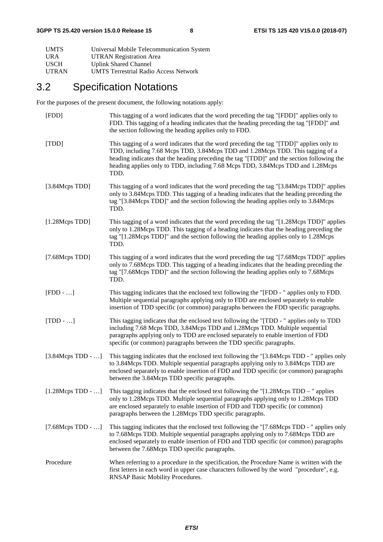| <b>UMTS</b>  | Universal Mobile Telecommunication System    |
|--------------|----------------------------------------------|
| <b>URA</b>   | <b>UTRAN Registration Area</b>               |
| <b>USCH</b>  | <b>Uplink Shared Channel</b>                 |
| <b>UTRAN</b> | <b>UMTS Terrestrial Radio Access Network</b> |

# 3.2 Specification Notations

For the purposes of the present document, the following notations apply:

| [FDD]                    | This tagging of a word indicates that the word preceding the tag "[FDD]" applies only to<br>FDD. This tagging of a heading indicates that the heading preceding the tag "[FDD]" and<br>the section following the heading applies only to FDD.                                                                                                                       |
|--------------------------|---------------------------------------------------------------------------------------------------------------------------------------------------------------------------------------------------------------------------------------------------------------------------------------------------------------------------------------------------------------------|
| [TDD]                    | This tagging of a word indicates that the word preceding the tag "[TDD]" applies only to<br>TDD, including 7.68 Mcps TDD, 3.84Mcps TDD and 1.28Mcps TDD. This tagging of a<br>heading indicates that the heading preceding the tag "[TDD]" and the section following the<br>heading applies only to TDD, including 7.68 Mcps TDD, 3.84Mcps TDD and 1.28Mcps<br>TDD. |
| [3.84Mcps TDD]           | This tagging of a word indicates that the word preceding the tag "[3.84Mcps TDD]" applies<br>only to 3.84Mcps TDD. This tagging of a heading indicates that the heading preceding the<br>tag "[3.84Mcps TDD]" and the section following the heading applies only to 3.84Mcps<br>TDD.                                                                                |
| [1.28Mcps TDD]           | This tagging of a word indicates that the word preceding the tag "[1.28Mcps TDD]" applies<br>only to 1.28Mcps TDD. This tagging of a heading indicates that the heading preceding the<br>tag "[1.28Mcps TDD]" and the section following the heading applies only to 1.28Mcps<br>TDD.                                                                                |
| [7.68Mcps TDD]           | This tagging of a word indicates that the word preceding the tag "[7.68Mcps TDD]" applies<br>only to 7.68Mcps TDD. This tagging of a heading indicates that the heading preceding the<br>tag "[7.68Mcps TDD]" and the section following the heading applies only to 7.68Mcps<br>TDD.                                                                                |
| $[FDD - ]$               | This tagging indicates that the enclosed text following the "[FDD - " applies only to FDD.<br>Multiple sequential paragraphs applying only to FDD are enclosed separately to enable<br>insertion of TDD specific (or common) paragraphs between the FDD specific paragraphs.                                                                                        |
| $[TDD - ]$               | This tagging indicates that the enclosed text following the "[TDD - " applies only to TDD<br>including 7.68 Mcps TDD, 3.84Mcps TDD and 1.28Mcps TDD. Multiple sequential<br>paragraphs applying only to TDD are enclosed separately to enable insertion of FDD<br>specific (or common) paragraphs between the TDD specific paragraphs.                              |
| $[3.84Meps TDD - ]$      | This tagging indicates that the enclosed text following the "[3.84Mcps TDD - " applies only<br>to 3.84Mcps TDD. Multiple sequential paragraphs applying only to 3.84Mcps TDD are<br>enclosed separately to enable insertion of FDD and TDD specific (or common) paragraphs<br>between the 3.84Mcps TDD specific paragraphs.                                         |
| $[1.28Meps TDD - \dots]$ | This tagging indicates that the enclosed text following the $\lceil 1.28Mcps \rceil TDD - \rceil$ applies<br>only to 1.28Mcps TDD. Multiple sequential paragraphs applying only to 1.28Mcps TDD<br>are enclosed separately to enable insertion of FDD and TDD specific (or common)<br>paragraphs between the 1.28Mcps TDD specific paragraphs.                      |
| $[7.68Meps TDD - ]$      | This tagging indicates that the enclosed text following the "[7.68Mcps TDD - " applies only<br>to 7.68Mcps TDD. Multiple sequential paragraphs applying only to 7.68Mcps TDD are<br>enclosed separately to enable insertion of FDD and TDD specific (or common) paragraphs<br>between the 7.68Mcps TDD specific paragraphs.                                         |
| Procedure                | When referring to a procedure in the specification, the Procedure Name is written with the<br>first letters in each word in upper case characters followed by the word "procedure", e.g.<br>RNSAP Basic Mobility Procedures.                                                                                                                                        |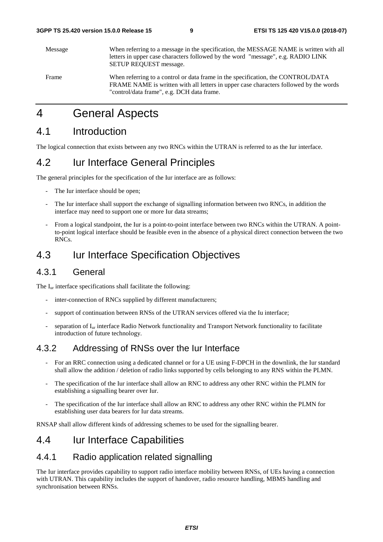| Message | When referring to a message in the specification, the MESSAGE NAME is written with all<br>letters in upper case characters followed by the word "message", e.g. RADIO LINK<br><b>SETUP REQUEST message.</b>             |
|---------|-------------------------------------------------------------------------------------------------------------------------------------------------------------------------------------------------------------------------|
| Frame   | When referring to a control or data frame in the specification, the CONTROL/DATA<br>FRAME NAME is written with all letters in upper case characters followed by the words<br>"control/data frame", e.g. DCH data frame. |

# 4 General Aspects

### 4.1 Introduction

The logical connection that exists between any two RNCs within the UTRAN is referred to as the Iur interface.

#### 4.2 Iur Interface General Principles

The general principles for the specification of the Iur interface are as follows:

- The Iur interface should be open;
- The Iur interface shall support the exchange of signalling information between two RNCs, in addition the interface may need to support one or more Iur data streams;
- From a logical standpoint, the Iur is a point-to-point interface between two RNCs within the UTRAN. A pointto-point logical interface should be feasible even in the absence of a physical direct connection between the two RNCs.

### 4.3 Iur Interface Specification Objectives

#### 4.3.1 General

The I<sub>ur</sub> interface specifications shall facilitate the following:

- inter-connection of RNCs supplied by different manufacturers;
- support of continuation between RNSs of the UTRAN services offered via the Iu interface;
- separation of I<sub>ur</sub> interface Radio Network functionality and Transport Network functionality to facilitate introduction of future technology.

#### 4.3.2 Addressing of RNSs over the Iur Interface

- For an RRC connection using a dedicated channel or for a UE using F-DPCH in the downlink, the Iur standard shall allow the addition / deletion of radio links supported by cells belonging to any RNS within the PLMN.
- The specification of the Iur interface shall allow an RNC to address any other RNC within the PLMN for establishing a signalling bearer over Iur.
- The specification of the Iur interface shall allow an RNC to address any other RNC within the PLMN for establishing user data bearers for Iur data streams.

RNSAP shall allow different kinds of addressing schemes to be used for the signalling bearer.

#### 4.4 Iur Interface Capabilities

#### 4.4.1 Radio application related signalling

The Iur interface provides capability to support radio interface mobility between RNSs, of UEs having a connection with UTRAN. This capability includes the support of handover, radio resource handling, MBMS handling and synchronisation between RNSs.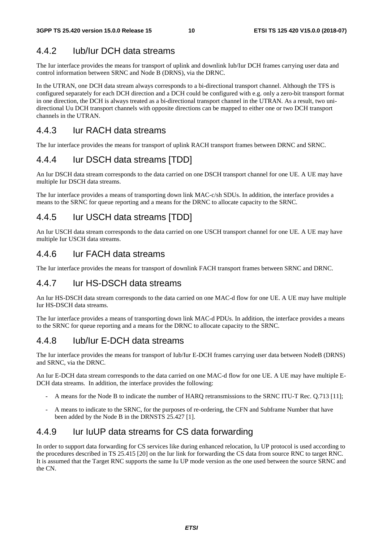#### 4.4.2 Iub/Iur DCH data streams

The Iur interface provides the means for transport of uplink and downlink Iub/Iur DCH frames carrying user data and control information between SRNC and Node B (DRNS), via the DRNC.

In the UTRAN, one DCH data stream always corresponds to a bi-directional transport channel. Although the TFS is configured separately for each DCH direction and a DCH could be configured with e.g. only a zero-bit transport format in one direction, the DCH is always treated as a bi-directional transport channel in the UTRAN. As a result, two unidirectional Uu DCH transport channels with opposite directions can be mapped to either one or two DCH transport channels in the UTRAN.

#### 4.4.3 Iur RACH data streams

The Iur interface provides the means for transport of uplink RACH transport frames between DRNC and SRNC.

#### 4.4.4 Iur DSCH data streams [TDD]

An Iur DSCH data stream corresponds to the data carried on one DSCH transport channel for one UE. A UE may have multiple Iur DSCH data streams.

The Iur interface provides a means of transporting down link MAC-c/sh SDUs. In addition, the interface provides a means to the SRNC for queue reporting and a means for the DRNC to allocate capacity to the SRNC.

#### 4.4.5 Iur USCH data streams [TDD]

An Iur USCH data stream corresponds to the data carried on one USCH transport channel for one UE. A UE may have multiple Iur USCH data streams.

#### 4.4.6 Iur FACH data streams

The Iur interface provides the means for transport of downlink FACH transport frames between SRNC and DRNC.

#### 4.4.7 Iur HS-DSCH data streams

An Iur HS-DSCH data stream corresponds to the data carried on one MAC-d flow for one UE. A UE may have multiple Iur HS-DSCH data streams.

The Iur interface provides a means of transporting down link MAC-d PDUs. In addition, the interface provides a means to the SRNC for queue reporting and a means for the DRNC to allocate capacity to the SRNC.

#### 4.4.8 Iub/Iur E-DCH data streams

The Iur interface provides the means for transport of Iub/Iur E-DCH frames carrying user data between NodeB (DRNS) and SRNC, via the DRNC.

An Iur E-DCH data stream corresponds to the data carried on one MAC-d flow for one UE. A UE may have multiple E-DCH data streams. In addition, the interface provides the following:

- A means for the Node B to indicate the number of HARQ retransmissions to the SRNC ITU-T Rec. Q.713 [11];
- A means to indicate to the SRNC, for the purposes of re-ordering, the CFN and Subframe Number that have been added by the Node B in the DRNSTS 25.427 [1].

#### 4.4.9 Iur IuUP data streams for CS data forwarding

In order to support data forwarding for CS services like during enhanced relocation, Iu UP protocol is used according to the procedures described in TS 25.415 [20] on the Iur link for forwarding the CS data from source RNC to target RNC. It is assumed that the Target RNC supports the same Iu UP mode version as the one used between the source SRNC and the CN.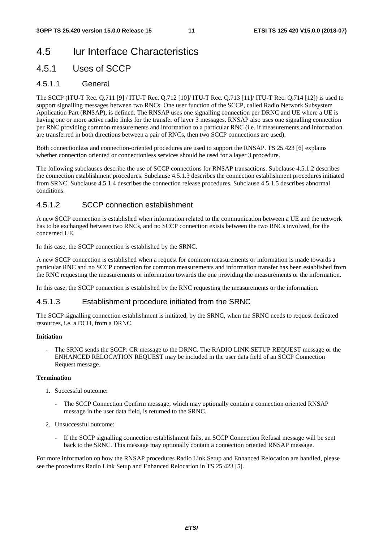### 4.5 Iur Interface Characteristics

#### 4.5.1 Uses of SCCP

#### 4.5.1.1 General

The SCCP (ITU-T Rec. Q.711 [9] / ITU-T Rec. Q.712 [10]/ ITU-T Rec. Q.713 [11]/ ITU-T Rec. Q.714 [12]) is used to support signalling messages between two RNCs. One user function of the SCCP, called Radio Network Subsystem Application Part (RNSAP), is defined. The RNSAP uses one signalling connection per DRNC and UE where a UE is having one or more active radio links for the transfer of layer 3 messages. RNSAP also uses one signalling connection per RNC providing common measurements and information to a particular RNC (i.e. if measurements and information are transferred in both directions between a pair of RNCs, then two SCCP connections are used).

Both connectionless and connection-oriented procedures are used to support the RNSAP. TS 25.423 [6] explains whether connection oriented or connectionless services should be used for a layer 3 procedure.

The following subclauses describe the use of SCCP connections for RNSAP transactions. Subclause 4.5.1.2 describes the connection establishment procedures. Subclause 4.5.1.3 describes the connection establishment procedures initiated from SRNC. Subclause 4.5.1.4 describes the connection release procedures. Subclause 4.5.1.5 describes abnormal conditions.

#### 4.5.1.2 SCCP connection establishment

A new SCCP connection is established when information related to the communication between a UE and the network has to be exchanged between two RNCs, and no SCCP connection exists between the two RNCs involved, for the concerned UE.

In this case, the SCCP connection is established by the SRNC.

A new SCCP connection is established when a request for common measurements or information is made towards a particular RNC and no SCCP connection for common measurements and information transfer has been established from the RNC requesting the measurements or information towards the one providing the measurements or the information.

In this case, the SCCP connection is established by the RNC requesting the measurements or the information.

#### 4.5.1.3 Establishment procedure initiated from the SRNC

The SCCP signalling connection establishment is initiated, by the SRNC, when the SRNC needs to request dedicated resources, i.e. a DCH, from a DRNC.

#### **Initiation**

The SRNC sends the SCCP: CR message to the DRNC. The RADIO LINK SETUP REQUEST message or the ENHANCED RELOCATION REQUEST may be included in the user data field of an SCCP Connection Request message.

#### **Termination**

- 1. Successful outcome:
	- The SCCP Connection Confirm message, which may optionally contain a connection oriented RNSAP message in the user data field, is returned to the SRNC.
- 2. Unsuccessful outcome:
	- If the SCCP signalling connection establishment fails, an SCCP Connection Refusal message will be sent back to the SRNC. This message may optionally contain a connection oriented RNSAP message.

For more information on how the RNSAP procedures Radio Link Setup and Enhanced Relocation are handled, please see the procedures Radio Link Setup and Enhanced Relocation in TS 25.423 [5].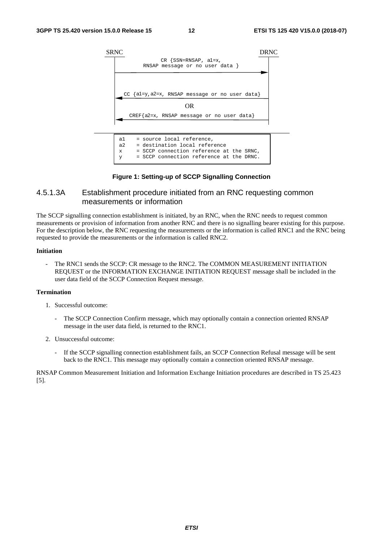

x = SCCP connection reference at the SRNC, y = SCCP connection reference at the DRNC.

#### **Figure 1: Setting-up of SCCP Signalling Connection**

#### 4.5.1.3A Establishment procedure initiated from an RNC requesting common measurements or information

The SCCP signalling connection establishment is initiated, by an RNC, when the RNC needs to request common measurements or provision of information from another RNC and there is no signalling bearer existing for this purpose. For the description below, the RNC requesting the measurements or the information is called RNC1 and the RNC being requested to provide the measurements or the information is called RNC2.

#### **Initiation**

The RNC1 sends the SCCP: CR message to the RNC2. The COMMON MEASUREMENT INITIATION REQUEST or the INFORMATION EXCHANGE INITIATION REQUEST message shall be included in the user data field of the SCCP Connection Request message.

#### **Termination**

- 1. Successful outcome:
	- The SCCP Connection Confirm message, which may optionally contain a connection oriented RNSAP message in the user data field, is returned to the RNC1.
- 2. Unsuccessful outcome:
	- If the SCCP signalling connection establishment fails, an SCCP Connection Refusal message will be sent back to the RNC1. This message may optionally contain a connection oriented RNSAP message.

RNSAP Common Measurement Initiation and Information Exchange Initiation procedures are described in TS 25.423 [5].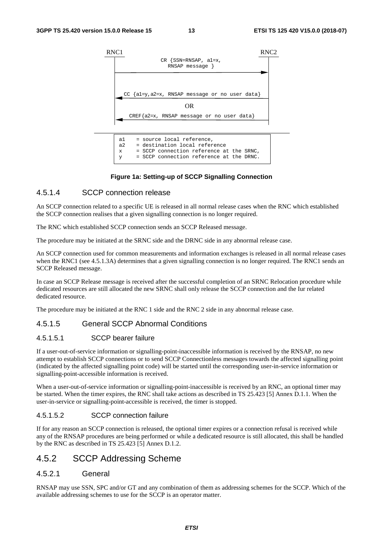

#### **Figure 1a: Setting-up of SCCP Signalling Connection**

#### 4.5.1.4 SCCP connection release

An SCCP connection related to a specific UE is released in all normal release cases when the RNC which established the SCCP connection realises that a given signalling connection is no longer required.

The RNC which established SCCP connection sends an SCCP Released message.

The procedure may be initiated at the SRNC side and the DRNC side in any abnormal release case.

An SCCP connection used for common measurements and information exchanges is released in all normal release cases when the RNC1 (see 4.5.1.3A) determines that a given signalling connection is no longer required. The RNC1 sends an SCCP Released message.

In case an SCCP Release message is received after the successful completion of an SRNC Relocation procedure while dedicated resources are still allocated the new SRNC shall only release the SCCP connection and the Iur related dedicated resource.

The procedure may be initiated at the RNC 1 side and the RNC 2 side in any abnormal release case.

#### 4.5.1.5 General SCCP Abnormal Conditions

#### 4.5.1.5.1 SCCP bearer failure

If a user-out-of-service information or signalling-point-inaccessible information is received by the RNSAP, no new attempt to establish SCCP connections or to send SCCP Connectionless messages towards the affected signalling point (indicated by the affected signalling point code) will be started until the corresponding user-in-service information or signalling-point-accessible information is received.

When a user-out-of-service information or signalling-point-inaccessible is received by an RNC, an optional timer may be started. When the timer expires, the RNC shall take actions as described in TS 25.423 [5] Annex D.1.1. When the user-in-service or signalling-point-accessible is received, the timer is stopped.

#### 4.5.1.5.2 SCCP connection failure

If for any reason an SCCP connection is released, the optional timer expires or a connection refusal is received while any of the RNSAP procedures are being performed or while a dedicated resource is still allocated, this shall be handled by the RNC as described in TS 25.423 [5] Annex D.1.2.

#### 4.5.2 SCCP Addressing Scheme

#### 4.5.2.1 General

RNSAP may use SSN, SPC and/or GT and any combination of them as addressing schemes for the SCCP. Which of the available addressing schemes to use for the SCCP is an operator matter.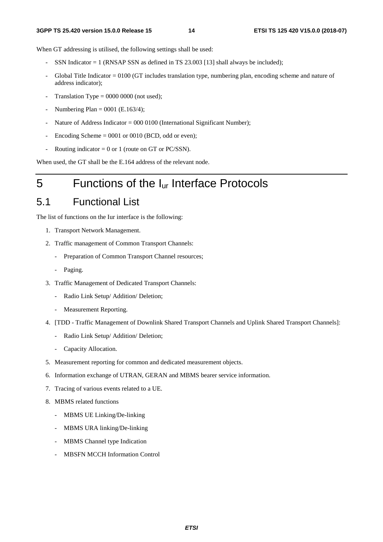When GT addressing is utilised, the following settings shall be used:

- SSN Indicator  $= 1$  (RNSAP SSN as defined in TS 23.003 [13] shall always be included);
- Global Title Indicator = 0100 (GT includes translation type, numbering plan, encoding scheme and nature of address indicator);
- Translation Type =  $0000 0000$  (not used);
- Numbering Plan =  $0001$  (E.163/4);
- Nature of Address Indicator = 000 0100 (International Significant Number);
- Encoding Scheme  $= 0001$  or 0010 (BCD, odd or even);
- Routing indicator =  $0$  or 1 (route on GT or PC/SSN).

When used, the GT shall be the E.164 address of the relevant node.

# 5 Functions of the Iur Interface Protocols

### 5.1 Functional List

The list of functions on the Iur interface is the following:

- 1. Transport Network Management.
- 2. Traffic management of Common Transport Channels:
	- Preparation of Common Transport Channel resources;
	- Paging.
- 3. Traffic Management of Dedicated Transport Channels:
	- Radio Link Setup/ Addition/ Deletion;
	- Measurement Reporting.
- 4. [TDD Traffic Management of Downlink Shared Transport Channels and Uplink Shared Transport Channels]:
	- Radio Link Setup/ Addition/ Deletion;
	- Capacity Allocation.
- 5. Measurement reporting for common and dedicated measurement objects.
- 6. Information exchange of UTRAN, GERAN and MBMS bearer service information.
- 7. Tracing of various events related to a UE.
- 8. MBMS related functions
	- MBMS UE Linking/De-linking
	- MBMS URA linking/De-linking
	- MBMS Channel type Indication
	- MBSFN MCCH Information Control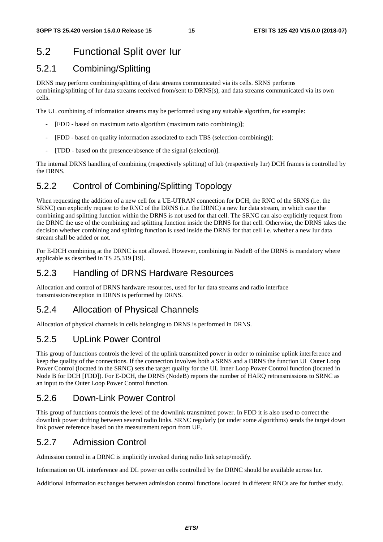# 5.2 Functional Split over Iur

#### 5.2.1 Combining/Splitting

DRNS may perform combining/splitting of data streams communicated via its cells. SRNS performs combining/splitting of Iur data streams received from/sent to DRNS(s), and data streams communicated via its own cells.

The UL combining of information streams may be performed using any suitable algorithm, for example:

- [FDD based on maximum ratio algorithm (maximum ratio combining)];
- [FDD based on quality information associated to each TBS (selection-combining)];
- [TDD based on the presence/absence of the signal (selection)].

The internal DRNS handling of combining (respectively splitting) of Iub (respectively Iur) DCH frames is controlled by the DRNS.

### 5.2.2 Control of Combining/Splitting Topology

When requesting the addition of a new cell for a UE-UTRAN connection for DCH, the RNC of the SRNS (i.e. the SRNC) can explicitly request to the RNC of the DRNS (i.e. the DRNC) a new Iur data stream, in which case the combining and splitting function within the DRNS is not used for that cell. The SRNC can also explicitly request from the DRNC the use of the combining and splitting function inside the DRNS for that cell. Otherwise, the DRNS takes the decision whether combining and splitting function is used inside the DRNS for that cell i.e. whether a new Iur data stream shall be added or not.

For E-DCH combining at the DRNC is not allowed. However, combining in NodeB of the DRNS is mandatory where applicable as described in TS 25.319 [19].

#### 5.2.3 Handling of DRNS Hardware Resources

Allocation and control of DRNS hardware resources, used for Iur data streams and radio interface transmission/reception in DRNS is performed by DRNS.

#### 5.2.4 Allocation of Physical Channels

Allocation of physical channels in cells belonging to DRNS is performed in DRNS.

#### 5.2.5 UpLink Power Control

This group of functions controls the level of the uplink transmitted power in order to minimise uplink interference and keep the quality of the connections. If the connection involves both a SRNS and a DRNS the function UL Outer Loop Power Control (located in the SRNC) sets the target quality for the UL Inner Loop Power Control function (located in Node B for DCH [FDD]). For E-DCH, the DRNS (NodeB) reports the number of HARQ retransmissions to SRNC as an input to the Outer Loop Power Control function.

#### 5.2.6 Down-Link Power Control

This group of functions controls the level of the downlink transmitted power. In FDD it is also used to correct the downlink power drifting between several radio links. SRNC regularly (or under some algorithms) sends the target down link power reference based on the measurement report from UE.

#### 5.2.7 Admission Control

Admission control in a DRNC is implicitly invoked during radio link setup/modify.

Information on UL interference and DL power on cells controlled by the DRNC should be available across Iur.

Additional information exchanges between admission control functions located in different RNCs are for further study.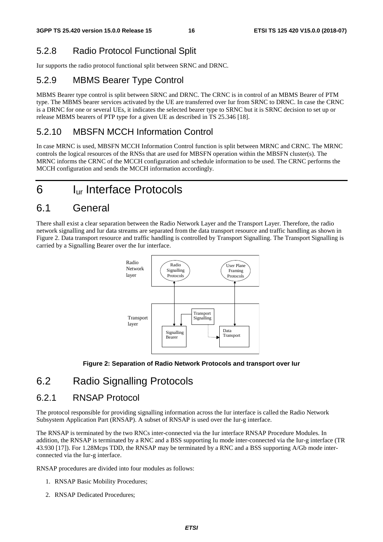### 5.2.8 Radio Protocol Functional Split

Iur supports the radio protocol functional split between SRNC and DRNC.

#### 5.2.9 MBMS Bearer Type Control

MBMS Bearer type control is split between SRNC and DRNC. The CRNC is in control of an MBMS Bearer of PTM type. The MBMS bearer services activated by the UE are transferred over Iur from SRNC to DRNC. In case the CRNC is a DRNC for one or several UEs, it indicates the selected bearer type to SRNC but it is SRNC decision to set up or release MBMS bearers of PTP type for a given UE as described in TS 25.346 [18].

#### 5.2.10 MBSFN MCCH Information Control

In case MRNC is used, MBSFN MCCH Information Control function is split between MRNC and CRNC. The MRNC controls the logical resources of the RNSs that are used for MBSFN operation within the MBSFN cluster(s). The MRNC informs the CRNC of the MCCH configuration and schedule information to be used. The CRNC performs the MCCH configuration and sends the MCCH information accordingly.

# 6 Iur Interface Protocols

### 6.1 General

There shall exist a clear separation between the Radio Network Layer and the Transport Layer. Therefore, the radio network signalling and Iur data streams are separated from the data transport resource and traffic handling as shown in Figure 2. Data transport resource and traffic handling is controlled by Transport Signalling. The Transport Signalling is carried by a Signalling Bearer over the Iur interface.





### 6.2 Radio Signalling Protocols

#### 6.2.1 RNSAP Protocol

The protocol responsible for providing signalling information across the Iur interface is called the Radio Network Subsystem Application Part (RNSAP). A subset of RNSAP is used over the Iur-g interface.

The RNSAP is terminated by the two RNCs inter-connected via the Iur interface RNSAP Procedure Modules. In addition, the RNSAP is terminated by a RNC and a BSS supporting Iu mode inter-connected via the Iur-g interface (TR 43.930 [17]). For 1.28Mcps TDD, the RNSAP may be terminated by a RNC and a BSS supporting A/Gb mode interconnected via the Iur-g interface.

RNSAP procedures are divided into four modules as follows:

- 1. RNSAP Basic Mobility Procedures;
- 2. RNSAP Dedicated Procedures;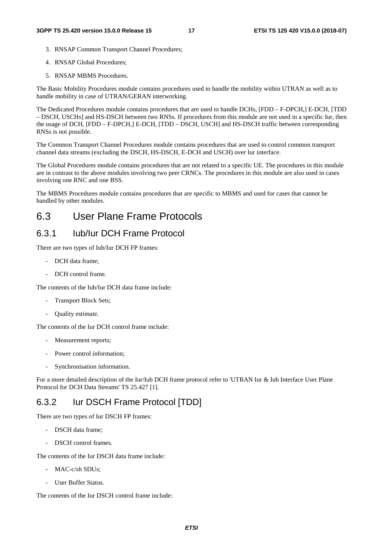- 3. RNSAP Common Transport Channel Procedures;
- 4. RNSAP Global Procedures;
- 5. RNSAP MBMS Procedures.

The Basic Mobility Procedures module contains procedures used to handle the mobility within UTRAN as well as to handle mobility in case of UTRAN/GERAN interworking.

The Dedicated Procedures module contains procedures that are used to handle DCHs, [FDD – F-DPCH,] E-DCH, [TDD – DSCH, USCHs] and HS-DSCH between two RNSs. If procedures from this module are not used in a specific Iur, then the usage of DCH, [FDD – F-DPCH,] E-DCH, [TDD – DSCH, USCH] and HS-DSCH traffic between corresponding RNSs is not possible.

The Common Transport Channel Procedures module contains procedures that are used to control common transport channel data streams (excluding the DSCH, HS-DSCH, E-DCH and USCH) over Iur interface.

The Global Procedures module contains procedures that are not related to a specific UE. The procedures in this module are in contrast to the above modules involving two peer CRNCs. The procedures in this module are also used in cases involving one RNC and one BSS.

The MBMS Procedures module contains procedures that are specific to MBMS and used for cases that cannot be handled by other modules.

### 6.3 User Plane Frame Protocols

#### 6.3.1 Iub/Iur DCH Frame Protocol

There are two types of Iub/Iur DCH FP frames:

- DCH data frame;
- DCH control frame.

The contents of the Iub/Iur DCH data frame include:

- Transport Block Sets;
- Quality estimate.

The contents of the Iur DCH control frame include:

- Measurement reports;
- Power control information;
- Synchronisation information.

For a more detailed description of the Iur/Iub DCH frame protocol refer to 'UTRAN Iur & Iub Interface User Plane Protocol for DCH Data Streams' TS 25.427 [1].

#### 6.3.2 Iur DSCH Frame Protocol [TDD]

There are two types of Iur DSCH FP frames:

- DSCH data frame;
- DSCH control frames.

The contents of the Iur DSCH data frame include:

- MAC-c/sh SDUs;
- User Buffer Status.

The contents of the Iur DSCH control frame include: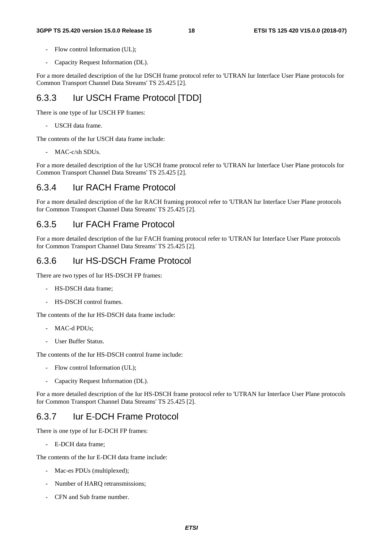#### **3GPP TS 25.420 version 15.0.0 Release 15 18 ETSI TS 125 420 V15.0.0 (2018-07)**

- Flow control Information (UL);
- Capacity Request Information (DL).

For a more detailed description of the Iur DSCH frame protocol refer to 'UTRAN Iur Interface User Plane protocols for Common Transport Channel Data Streams' TS 25.425 [2].

#### 6.3.3 Iur USCH Frame Protocol [TDD]

There is one type of Iur USCH FP frames:

- USCH data frame.

The contents of the Iur USCH data frame include:

- MAC-c/sh SDUs.

For a more detailed description of the Iur USCH frame protocol refer to 'UTRAN Iur Interface User Plane protocols for Common Transport Channel Data Streams' TS 25.425 [2].

#### 6.3.4 Iur RACH Frame Protocol

For a more detailed description of the Iur RACH framing protocol refer to 'UTRAN Iur Interface User Plane protocols for Common Transport Channel Data Streams' TS 25.425 [2].

#### 6.3.5 Iur FACH Frame Protocol

For a more detailed description of the Iur FACH framing protocol refer to 'UTRAN Iur Interface User Plane protocols for Common Transport Channel Data Streams' TS 25.425 [2].

#### 6.3.6 Iur HS-DSCH Frame Protocol

There are two types of Iur HS-DSCH FP frames:

- HS-DSCH data frame;
- HS-DSCH control frames.

The contents of the Iur HS-DSCH data frame include:

- MAC-d PDUs;
- User Buffer Status.

The contents of the Iur HS-DSCH control frame include:

- Flow control Information (UL);
- Capacity Request Information (DL).

For a more detailed description of the Iur HS-DSCH frame protocol refer to 'UTRAN Iur Interface User Plane protocols for Common Transport Channel Data Streams' TS 25.425 [2].

#### 6.3.7 Iur E-DCH Frame Protocol

There is one type of Iur E-DCH FP frames:

- E-DCH data frame;

The contents of the Iur E-DCH data frame include:

- Mac-es PDUs (multiplexed);
- Number of HARQ retransmissions;
- CFN and Sub frame number.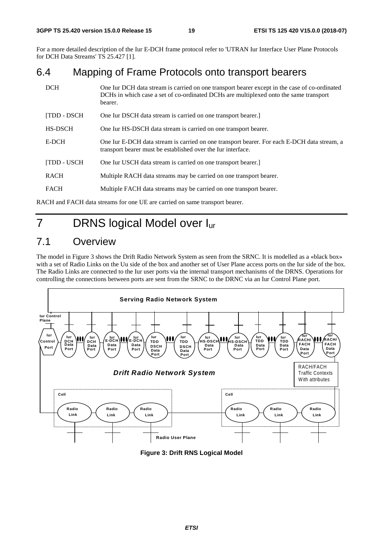For a more detailed description of the Iur E-DCH frame protocol refer to 'UTRAN Iur Interface User Plane Protocols for DCH Data Streams' TS 25.427 [1].

### 6.4 Mapping of Frame Protocols onto transport bearers

| <b>DCH</b>   | One Iur DCH data stream is carried on one transport bearer except in the case of co-ordinated<br>DCHs in which case a set of co-ordinated DCHs are multiplexed onto the same transport<br>bearer. |
|--------------|---------------------------------------------------------------------------------------------------------------------------------------------------------------------------------------------------|
| [TDD - DSCH  | One Iur DSCH data stream is carried on one transport bearer.                                                                                                                                      |
| HS-DSCH      | One Iur HS-DSCH data stream is carried on one transport bearer.                                                                                                                                   |
| E-DCH        | One Iur E-DCH data stream is carried on one transport bearer. For each E-DCH data stream, a<br>transport bearer must be established over the Iur interface.                                       |
| [TDD - USCH] | One Iur USCH data stream is carried on one transport bearer.                                                                                                                                      |
| <b>RACH</b>  | Multiple RACH data streams may be carried on one transport bearer.                                                                                                                                |
| <b>FACH</b>  | Multiple FACH data streams may be carried on one transport bearer.                                                                                                                                |
|              |                                                                                                                                                                                                   |

RACH and FACH data streams for one UE are carried on same transport bearer.

# 7 DRNS logical Model over Iur

# 7.1 Overview

The model in Figure 3 shows the Drift Radio Network System as seen from the SRNC. It is modelled as a «black box» with a set of Radio Links on the Uu side of the box and another set of User Plane access ports on the Iur side of the box. The Radio Links are connected to the Iur user ports via the internal transport mechanisms of the DRNS. Operations for controlling the connections between ports are sent from the SRNC to the DRNC via an Iur Control Plane port.



**Figure 3: Drift RNS Logical Model**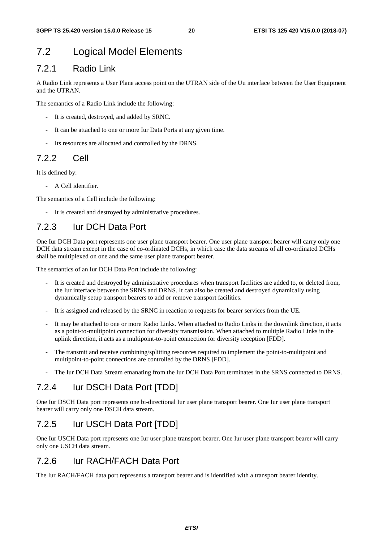### 7.2 Logical Model Elements

#### 7.2.1 Radio Link

A Radio Link represents a User Plane access point on the UTRAN side of the Uu interface between the User Equipment and the UTRAN.

The semantics of a Radio Link include the following:

- It is created, destroyed, and added by SRNC.
- It can be attached to one or more Iur Data Ports at any given time.
- Its resources are allocated and controlled by the DRNS.

#### 7.2.2 Cell

It is defined by:

- A Cell identifier.

The semantics of a Cell include the following:

- It is created and destroyed by administrative procedures.

#### 7.2.3 Iur DCH Data Port

One Iur DCH Data port represents one user plane transport bearer. One user plane transport bearer will carry only one DCH data stream except in the case of co-ordinated DCHs, in which case the data streams of all co-ordinated DCHs shall be multiplexed on one and the same user plane transport bearer.

The semantics of an Iur DCH Data Port include the following:

- It is created and destroyed by administrative procedures when transport facilities are added to, or deleted from, the Iur interface between the SRNS and DRNS. It can also be created and destroyed dynamically using dynamically setup transport bearers to add or remove transport facilities.
- It is assigned and released by the SRNC in reaction to requests for bearer services from the UE.
- It may be attached to one or more Radio Links. When attached to Radio Links in the downlink direction, it acts as a point-to-multipoint connection for diversity transmission. When attached to multiple Radio Links in the uplink direction, it acts as a multipoint-to-point connection for diversity reception [FDD].
- The transmit and receive combining/splitting resources required to implement the point-to-multipoint and multipoint-to-point connections are controlled by the DRNS [FDD].
- The Iur DCH Data Stream emanating from the Iur DCH Data Port terminates in the SRNS connected to DRNS.

### 7.2.4 Iur DSCH Data Port [TDD]

One Iur DSCH Data port represents one bi-directional Iur user plane transport bearer. One Iur user plane transport bearer will carry only one DSCH data stream.

### 7.2.5 Iur USCH Data Port [TDD]

One Iur USCH Data port represents one Iur user plane transport bearer. One Iur user plane transport bearer will carry only one USCH data stream.

#### 7.2.6 Iur RACH/FACH Data Port

The Iur RACH/FACH data port represents a transport bearer and is identified with a transport bearer identity.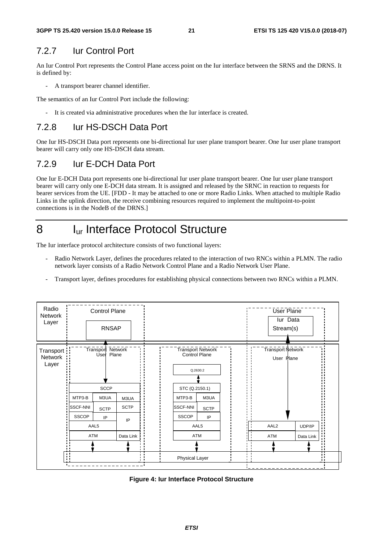### 7.2.7 Iur Control Port

An Iur Control Port represents the Control Plane access point on the Iur interface between the SRNS and the DRNS. It is defined by:

A transport bearer channel identifier.

The semantics of an Iur Control Port include the following:

- It is created via administrative procedures when the Iur interface is created.

### 7.2.8 Iur HS-DSCH Data Port

One Iur HS-DSCH Data port represents one bi-directional Iur user plane transport bearer. One Iur user plane transport bearer will carry only one HS-DSCH data stream.

### 7.2.9 Iur E-DCH Data Port

One Iur E-DCH Data port represents one bi-directional Iur user plane transport bearer. One Iur user plane transport bearer will carry only one E-DCH data stream. It is assigned and released by the SRNC in reaction to requests for bearer services from the UE. [FDD - It may be attached to one or more Radio Links. When attached to multiple Radio Links in the uplink direction, the receive combining resources required to implement the multipoint-to-point connections is in the NodeB of the DRNS.]

# 8 Iur Interface Protocol Structure

The Iur interface protocol architecture consists of two functional layers:

- Radio Network Layer, defines the procedures related to the interaction of two RNCs within a PLMN. The radio network layer consists of a Radio Network Control Plane and a Radio Network User Plane.
- Transport layer, defines procedures for establishing physical connections between two RNCs within a PLMN.



**Figure 4: Iur Interface Protocol Structure**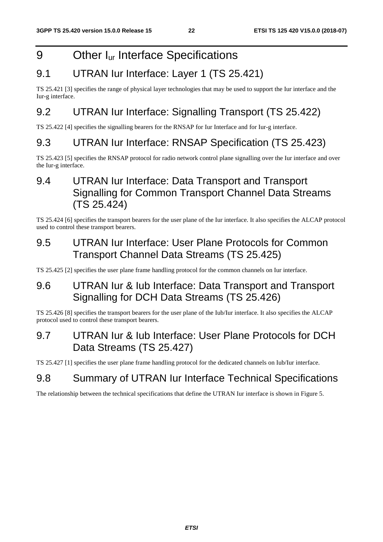# 9 Other I<sub>ur</sub> Interface Specifications

# 9.1 UTRAN Iur Interface: Layer 1 (TS 25.421)

TS 25.421 [3] specifies the range of physical layer technologies that may be used to support the Iur interface and the Iur-g interface.

# 9.2 UTRAN Iur Interface: Signalling Transport (TS 25.422)

TS 25.422 [4] specifies the signalling bearers for the RNSAP for Iur Interface and for Iur-g interface.

### 9.3 UTRAN Iur Interface: RNSAP Specification (TS 25.423)

TS 25.423 [5] specifies the RNSAP protocol for radio network control plane signalling over the Iur interface and over the Iur-g interface.

# 9.4 UTRAN Iur Interface: Data Transport and Transport Signalling for Common Transport Channel Data Streams (TS 25.424)

TS 25.424 [6] specifies the transport bearers for the user plane of the Iur interface. It also specifies the ALCAP protocol used to control these transport bearers.

### 9.5 UTRAN Iur Interface: User Plane Protocols for Common Transport Channel Data Streams (TS 25.425)

TS 25.425 [2] specifies the user plane frame handling protocol for the common channels on Iur interface.

### 9.6 UTRAN Iur & Iub Interface: Data Transport and Transport Signalling for DCH Data Streams (TS 25.426)

TS 25.426 [8] specifies the transport bearers for the user plane of the Iub/Iur interface. It also specifies the ALCAP protocol used to control these transport bearers.

### 9.7 UTRAN Iur & Iub Interface: User Plane Protocols for DCH Data Streams (TS 25.427)

TS 25.427 [1] specifies the user plane frame handling protocol for the dedicated channels on Iub/Iur interface.

### 9.8 Summary of UTRAN Iur Interface Technical Specifications

The relationship between the technical specifications that define the UTRAN Iur interface is shown in Figure 5.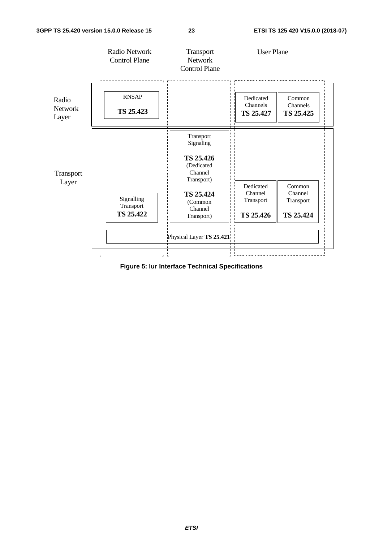

**Figure 5: Iur Interface Technical Specifications**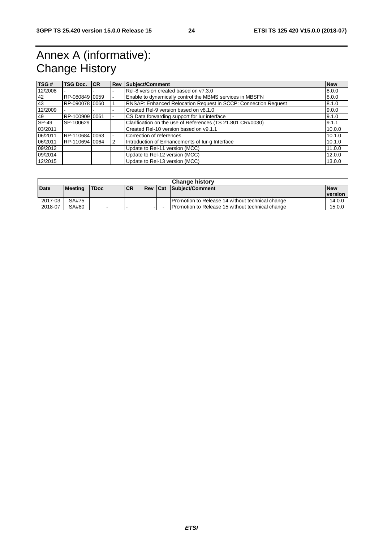# Annex A (informative): Change History

| TSG#    | <b>TSG Doc.</b> | <b>ICR</b> |                | <b>Rev Subject/Comment</b>                                     | <b>New</b> |
|---------|-----------------|------------|----------------|----------------------------------------------------------------|------------|
| 12/2008 |                 |            | $\blacksquare$ | Rel-8 version created based on y7.3.0                          | 8.0.0      |
| 42      | RP-080849 0059  |            |                | Enable to dynamically control the MBMS services in MBSFN       | 8.0.0      |
| 43      | RP-090078 0060  |            |                | RNSAP: Enhanced Relocation Request in SCCP: Connection Request | 8.1.0      |
| 12/2009 |                 |            | $\blacksquare$ | Created Rel-9 version based on v8.1.0                          | 9.0.0      |
| 49      | RP-100909 0061  |            |                | CS Data forwarding support for lur interface                   | 9.1.0      |
| SP-49   | SP-100629       |            |                | Clarification on the use of References (TS 21.801 CR#0030)     | 9.1.1      |
| 03/2011 |                 |            |                | Created Rel-10 version based on v9.1.1                         | 10.0.0     |
| 06/2011 | RP-110684 0063  |            |                | Correction of references                                       | 10.1.0     |
| 06/2011 | RP-110694 0064  |            | 12             | Introduction of Enhancements of lur-g Interface                | 10.1.0     |
| 09/2012 |                 |            |                | Update to Rel-11 version (MCC)                                 | 11.0.0     |
| 09/2014 |                 |            |                | Update to Rel-12 version (MCC)                                 | 12.0.0     |
| 12/2015 |                 |            |                | Update to Rel-13 version (MCC)                                 | 13.0.0     |

| <b>Change history</b> |                |             |            |  |  |                                                  |            |
|-----------------------|----------------|-------------|------------|--|--|--------------------------------------------------|------------|
| <b>Date</b>           | <b>Meeting</b> | <b>TDoc</b> | <b>ICR</b> |  |  | <b>Rev Cat Subject/Comment</b>                   | <b>New</b> |
|                       |                |             |            |  |  |                                                  | version    |
| 2017-03               | SA#75          |             |            |  |  | Promotion to Release 14 without technical change | 14.0.0     |
| 2018-07               | SA#80          | $\sim$      |            |  |  | Promotion to Release 15 without technical change | 15.0.0     |